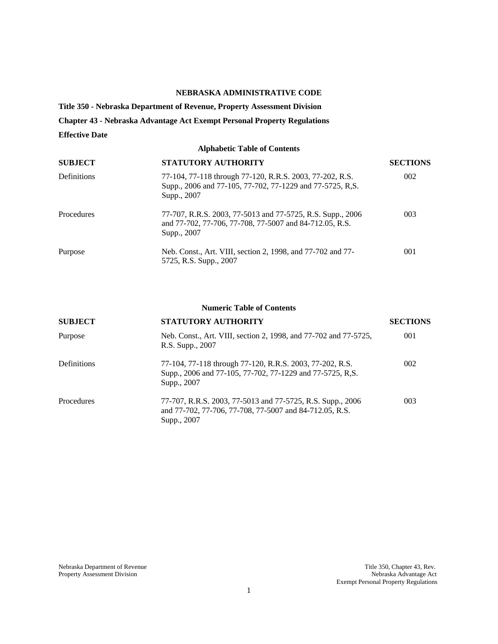## **NEBRASKA ADMINISTRATIVE CODE**

**Title 350 - Nebraska Department of Revenue, Property Assessment Division** 

**Chapter 43 - Nebraska Advantage Act Exempt Personal Property Regulations** 

## **Effective Date**

| <b>Alphabetic Table of Contents</b> |                                                                                                                                      |                 |  |  |  |  |  |
|-------------------------------------|--------------------------------------------------------------------------------------------------------------------------------------|-----------------|--|--|--|--|--|
| <b>SUBJECT</b>                      | <b>STATUTORY AUTHORITY</b>                                                                                                           | <b>SECTIONS</b> |  |  |  |  |  |
| <b>Definitions</b>                  | 77-104, 77-118 through 77-120, R.R.S. 2003, 77-202, R.S.<br>Supp., 2006 and 77-105, 77-702, 77-1229 and 77-5725, R,S.<br>Supp., 2007 | 002             |  |  |  |  |  |
| <b>Procedures</b>                   | 77-707, R.R.S. 2003, 77-5013 and 77-5725, R.S. Supp., 2006<br>and 77-702, 77-706, 77-708, 77-5007 and 84-712.05, R.S.<br>Supp., 2007 | 003             |  |  |  |  |  |
| Purpose                             | Neb. Const., Art. VIII, section 2, 1998, and 77-702 and 77-<br>5725, R.S. Supp., 2007                                                | 001             |  |  |  |  |  |

#### **Numeric Table of Contents**

| <b>SUBJECT</b>     | STATUTORY AUTHORITY                                                                                                                  | <b>SECTIONS</b> |  |
|--------------------|--------------------------------------------------------------------------------------------------------------------------------------|-----------------|--|
| Purpose            | Neb. Const., Art. VIII, section 2, 1998, and 77-702 and 77-5725,<br>R.S. Supp., 2007                                                 | 001             |  |
| <b>Definitions</b> | 77-104, 77-118 through 77-120, R.R.S. 2003, 77-202, R.S.<br>Supp., 2006 and 77-105, 77-702, 77-1229 and 77-5725, R,S.<br>Supp., 2007 | 002             |  |
| Procedures         | 77-707, R.R.S. 2003, 77-5013 and 77-5725, R.S. Supp., 2006<br>and 77-702, 77-706, 77-708, 77-5007 and 84-712.05, R.S.<br>Supp., 2007 | 003             |  |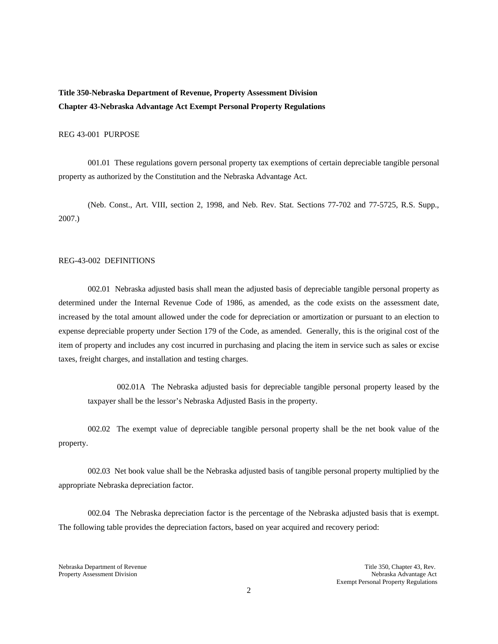# **Title 350-Nebraska Department of Revenue, Property Assessment Division Chapter 43-Nebraska Advantage Act Exempt Personal Property Regulations**

### REG 43-001 PURPOSE

001.01 These regulations govern personal property tax exemptions of certain depreciable tangible personal property as authorized by the Constitution and the Nebraska Advantage Act.

(Neb. Const., Art. VIII, section 2, 1998, and Neb. Rev. Stat. Sections 77-702 and 77-5725, R.S. Supp., 2007.)

#### REG-43-002 DEFINITIONS

002.01 Nebraska adjusted basis shall mean the adjusted basis of depreciable tangible personal property as determined under the Internal Revenue Code of 1986, as amended, as the code exists on the assessment date, increased by the total amount allowed under the code for depreciation or amortization or pursuant to an election to expense depreciable property under Section 179 of the Code, as amended. Generally, this is the original cost of the item of property and includes any cost incurred in purchasing and placing the item in service such as sales or excise taxes, freight charges, and installation and testing charges.

002.01A The Nebraska adjusted basis for depreciable tangible personal property leased by the taxpayer shall be the lessor's Nebraska Adjusted Basis in the property.

002.02 The exempt value of depreciable tangible personal property shall be the net book value of the property.

002.03 Net book value shall be the Nebraska adjusted basis of tangible personal property multiplied by the appropriate Nebraska depreciation factor.

002.04 The Nebraska depreciation factor is the percentage of the Nebraska adjusted basis that is exempt. The following table provides the depreciation factors, based on year acquired and recovery period:

Nebraska Department of Revenue Title 350, Chapter 43, Rev. Property Assessment Division Nebraska Advantage Act Exempt Personal Property Regulations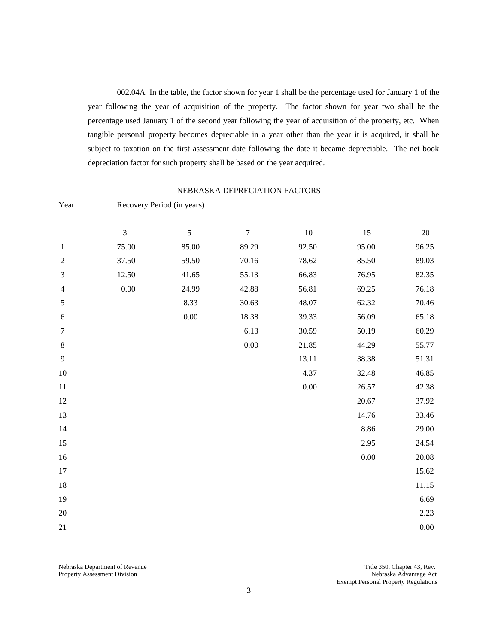002.04A In the table, the factor shown for year 1 shall be the percentage used for January 1 of the year following the year of acquisition of the property. The factor shown for year two shall be the percentage used January 1 of the second year following the year of acquisition of the property, etc. When tangible personal property becomes depreciable in a year other than the year it is acquired, it shall be subject to taxation on the first assessment date following the date it became depreciable. The net book depreciation factor for such property shall be based on the year acquired.

#### NEBRASKA DEPRECIATION FACTORS

| Year           | Recovery Period (in years) |            |        |          |       |          |  |  |  |
|----------------|----------------------------|------------|--------|----------|-------|----------|--|--|--|
|                | 3                          | $\sqrt{5}$ | $\tau$ | $10\,$   | 15    | $20\,$   |  |  |  |
| $\mathbf{1}$   | 75.00                      | 85.00      | 89.29  | 92.50    | 95.00 | 96.25    |  |  |  |
| $\sqrt{2}$     | 37.50                      | 59.50      | 70.16  | 78.62    | 85.50 | 89.03    |  |  |  |
| $\mathfrak{Z}$ | 12.50                      | 41.65      | 55.13  | 66.83    | 76.95 | 82.35    |  |  |  |
| $\overline{4}$ | $0.00\,$                   | 24.99      | 42.88  | 56.81    | 69.25 | 76.18    |  |  |  |
| 5              |                            | 8.33       | 30.63  | 48.07    | 62.32 | 70.46    |  |  |  |
| $\sqrt{6}$     |                            | $0.00\,$   | 18.38  | 39.33    | 56.09 | 65.18    |  |  |  |
| 7              |                            |            | 6.13   | 30.59    | 50.19 | 60.29    |  |  |  |
| $\,8\,$        |                            |            | 0.00   | 21.85    | 44.29 | 55.77    |  |  |  |
| $\overline{9}$ |                            |            |        | 13.11    | 38.38 | 51.31    |  |  |  |
| $10\,$         |                            |            |        | 4.37     | 32.48 | 46.85    |  |  |  |
| $11\,$         |                            |            |        | $0.00\,$ | 26.57 | 42.38    |  |  |  |
| 12             |                            |            |        |          | 20.67 | 37.92    |  |  |  |
| 13             |                            |            |        |          | 14.76 | 33.46    |  |  |  |
| 14             |                            |            |        |          | 8.86  | 29.00    |  |  |  |
| 15             |                            |            |        |          | 2.95  | 24.54    |  |  |  |
| 16             |                            |            |        |          | 0.00  | 20.08    |  |  |  |
| 17             |                            |            |        |          |       | 15.62    |  |  |  |
| 18             |                            |            |        |          |       | 11.15    |  |  |  |
| 19             |                            |            |        |          |       | 6.69     |  |  |  |
| $20\,$         |                            |            |        |          |       | 2.23     |  |  |  |
| 21             |                            |            |        |          |       | $0.00\,$ |  |  |  |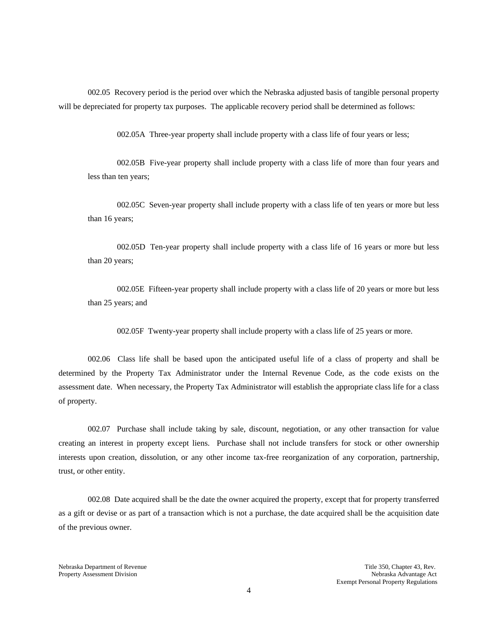002.05 Recovery period is the period over which the Nebraska adjusted basis of tangible personal property will be depreciated for property tax purposes. The applicable recovery period shall be determined as follows:

002.05A Three-year property shall include property with a class life of four years or less;

002.05B Five-year property shall include property with a class life of more than four years and less than ten years;

002.05C Seven-year property shall include property with a class life of ten years or more but less than 16 years;

002.05D Ten-year property shall include property with a class life of 16 years or more but less than 20 years;

002.05E Fifteen-year property shall include property with a class life of 20 years or more but less than 25 years; and

002.05F Twenty-year property shall include property with a class life of 25 years or more.

002.06 Class life shall be based upon the anticipated useful life of a class of property and shall be determined by the Property Tax Administrator under the Internal Revenue Code, as the code exists on the assessment date. When necessary, the Property Tax Administrator will establish the appropriate class life for a class of property.

002.07 Purchase shall include taking by sale, discount, negotiation, or any other transaction for value creating an interest in property except liens. Purchase shall not include transfers for stock or other ownership interests upon creation, dissolution, or any other income tax-free reorganization of any corporation, partnership, trust, or other entity.

002.08 Date acquired shall be the date the owner acquired the property, except that for property transferred as a gift or devise or as part of a transaction which is not a purchase, the date acquired shall be the acquisition date of the previous owner.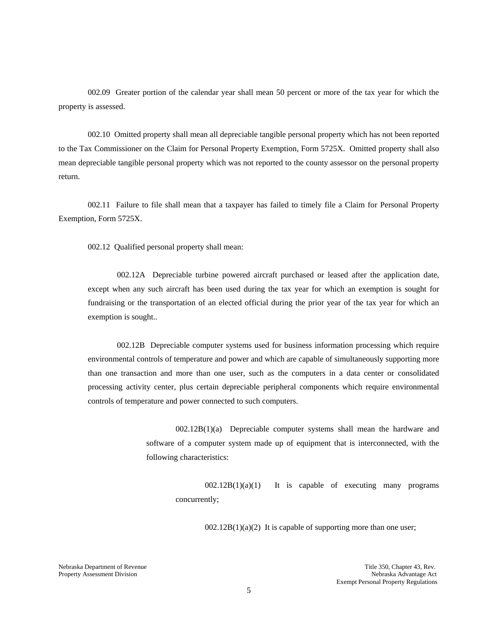002.09 Greater portion of the calendar year shall mean 50 percent or more of the tax year for which the property is assessed.

002.10 Omitted property shall mean all depreciable tangible personal property which has not been reported to the Tax Commissioner on the Claim for Personal Property Exemption, Form 5725X. Omitted property shall also mean depreciable tangible personal property which was not reported to the county assessor on the personal property return.

002.11 Failure to file shall mean that a taxpayer has failed to timely file a Claim for Personal Property Exemption, Form 5725X.

002.12 Qualified personal property shall mean:

002.12A Depreciable turbine powered aircraft purchased or leased after the application date, except when any such aircraft has been used during the tax year for which an exemption is sought for fundraising or the transportation of an elected official during the prior year of the tax year for which an exemption is sought..

002.12B Depreciable computer systems used for business information processing which require environmental controls of temperature and power and which are capable of simultaneously supporting more than one transaction and more than one user, such as the computers in a data center or consolidated processing activity center, plus certain depreciable peripheral components which require environmental controls of temperature and power connected to such computers.

> 002.12B(1)(a) Depreciable computer systems shall mean the hardware and software of a computer system made up of equipment that is interconnected, with the following characteristics:

 $002.12B(1)(a)(1)$  It is capable of executing many programs concurrently;

 $002.12B(1)(a)(2)$  It is capable of supporting more than one user;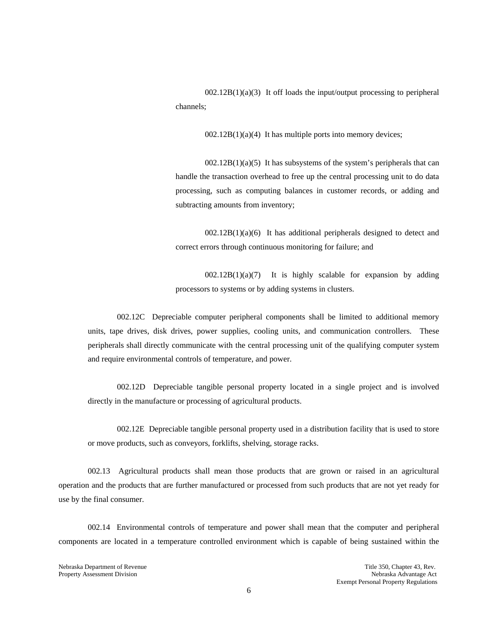$002.12B(1)(a)(3)$  It off loads the input/output processing to peripheral channels;

 $002.12B(1)(a)(4)$  It has multiple ports into memory devices;

 $002.12B(1)(a)(5)$  It has subsystems of the system's peripherals that can handle the transaction overhead to free up the central processing unit to do data processing, such as computing balances in customer records, or adding and subtracting amounts from inventory;

 $002.12B(1)(a)(6)$  It has additional peripherals designed to detect and correct errors through continuous monitoring for failure; and

 $002.12B(1)(a)(7)$  It is highly scalable for expansion by adding processors to systems or by adding systems in clusters.

002.12C Depreciable computer peripheral components shall be limited to additional memory units, tape drives, disk drives, power supplies, cooling units, and communication controllers. These peripherals shall directly communicate with the central processing unit of the qualifying computer system and require environmental controls of temperature, and power.

002.12D Depreciable tangible personal property located in a single project and is involved directly in the manufacture or processing of agricultural products.

002.12E Depreciable tangible personal property used in a distribution facility that is used to store or move products, such as conveyors, forklifts, shelving, storage racks.

002.13 Agricultural products shall mean those products that are grown or raised in an agricultural operation and the products that are further manufactured or processed from such products that are not yet ready for use by the final consumer.

002.14 Environmental controls of temperature and power shall mean that the computer and peripheral components are located in a temperature controlled environment which is capable of being sustained within the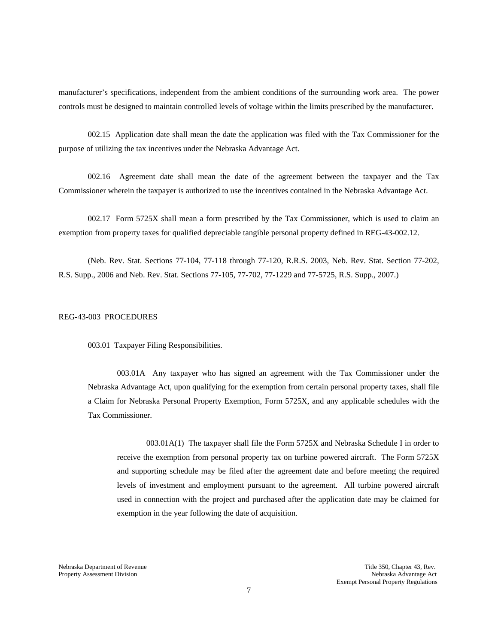manufacturer's specifications, independent from the ambient conditions of the surrounding work area. The power controls must be designed to maintain controlled levels of voltage within the limits prescribed by the manufacturer.

002.15 Application date shall mean the date the application was filed with the Tax Commissioner for the purpose of utilizing the tax incentives under the Nebraska Advantage Act.

002.16 Agreement date shall mean the date of the agreement between the taxpayer and the Tax Commissioner wherein the taxpayer is authorized to use the incentives contained in the Nebraska Advantage Act.

002.17 Form 5725X shall mean a form prescribed by the Tax Commissioner, which is used to claim an exemption from property taxes for qualified depreciable tangible personal property defined in REG-43-002.12.

(Neb. Rev. Stat. Sections 77-104, 77-118 through 77-120, R.R.S. 2003, Neb. Rev. Stat. Section 77-202, R.S. Supp., 2006 and Neb. Rev. Stat. Sections 77-105, 77-702, 77-1229 and 77-5725, R.S. Supp., 2007.)

#### REG-43-003 PROCEDURES

003.01 Taxpayer Filing Responsibilities.

003.01A Any taxpayer who has signed an agreement with the Tax Commissioner under the Nebraska Advantage Act, upon qualifying for the exemption from certain personal property taxes, shall file a Claim for Nebraska Personal Property Exemption, Form 5725X, and any applicable schedules with the Tax Commissioner.

003.01A(1) The taxpayer shall file the Form 5725X and Nebraska Schedule I in order to receive the exemption from personal property tax on turbine powered aircraft. The Form 5725X and supporting schedule may be filed after the agreement date and before meeting the required levels of investment and employment pursuant to the agreement. All turbine powered aircraft used in connection with the project and purchased after the application date may be claimed for exemption in the year following the date of acquisition.

Nebraska Department of Revenue Title 350, Chapter 43, Rev.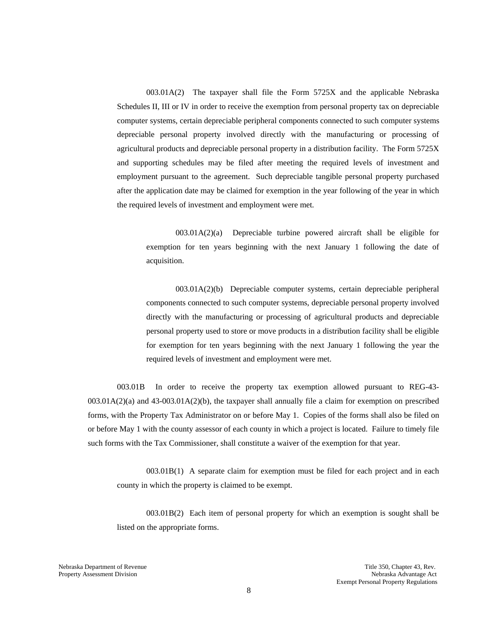003.01A(2) The taxpayer shall file the Form 5725X and the applicable Nebraska Schedules II, III or IV in order to receive the exemption from personal property tax on depreciable computer systems, certain depreciable peripheral components connected to such computer systems depreciable personal property involved directly with the manufacturing or processing of agricultural products and depreciable personal property in a distribution facility. The Form 5725X and supporting schedules may be filed after meeting the required levels of investment and employment pursuant to the agreement. Such depreciable tangible personal property purchased after the application date may be claimed for exemption in the year following of the year in which the required levels of investment and employment were met.

003.01A(2)(a) Depreciable turbine powered aircraft shall be eligible for exemption for ten years beginning with the next January 1 following the date of acquisition.

003.01A(2)(b) Depreciable computer systems, certain depreciable peripheral components connected to such computer systems, depreciable personal property involved directly with the manufacturing or processing of agricultural products and depreciable personal property used to store or move products in a distribution facility shall be eligible for exemption for ten years beginning with the next January 1 following the year the required levels of investment and employment were met.

003.01B In order to receive the property tax exemption allowed pursuant to REG-43- 003.01A(2)(a) and 43-003.01A(2)(b), the taxpayer shall annually file a claim for exemption on prescribed forms, with the Property Tax Administrator on or before May 1. Copies of the forms shall also be filed on or before May 1 with the county assessor of each county in which a project is located. Failure to timely file such forms with the Tax Commissioner, shall constitute a waiver of the exemption for that year.

003.01B(1) A separate claim for exemption must be filed for each project and in each county in which the property is claimed to be exempt.

003.01B(2) Each item of personal property for which an exemption is sought shall be listed on the appropriate forms.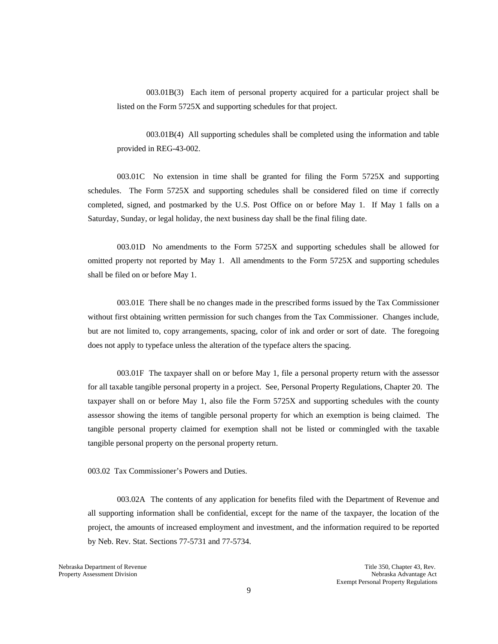003.01B(3) Each item of personal property acquired for a particular project shall be listed on the Form 5725X and supporting schedules for that project.

003.01B(4) All supporting schedules shall be completed using the information and table provided in REG-43-002.

003.01C No extension in time shall be granted for filing the Form 5725X and supporting schedules. The Form 5725X and supporting schedules shall be considered filed on time if correctly completed, signed, and postmarked by the U.S. Post Office on or before May 1. If May 1 falls on a Saturday, Sunday, or legal holiday, the next business day shall be the final filing date.

003.01D No amendments to the Form 5725X and supporting schedules shall be allowed for omitted property not reported by May 1. All amendments to the Form 5725X and supporting schedules shall be filed on or before May 1.

003.01E There shall be no changes made in the prescribed forms issued by the Tax Commissioner without first obtaining written permission for such changes from the Tax Commissioner. Changes include, but are not limited to, copy arrangements, spacing, color of ink and order or sort of date. The foregoing does not apply to typeface unless the alteration of the typeface alters the spacing.

003.01F The taxpayer shall on or before May 1, file a personal property return with the assessor for all taxable tangible personal property in a project. See, Personal Property Regulations, Chapter 20. The taxpayer shall on or before May 1, also file the Form 5725X and supporting schedules with the county assessor showing the items of tangible personal property for which an exemption is being claimed. The tangible personal property claimed for exemption shall not be listed or commingled with the taxable tangible personal property on the personal property return.

003.02 Tax Commissioner's Powers and Duties.

003.02A The contents of any application for benefits filed with the Department of Revenue and all supporting information shall be confidential, except for the name of the taxpayer, the location of the project, the amounts of increased employment and investment, and the information required to be reported by Neb. Rev. Stat. Sections 77-5731 and 77-5734.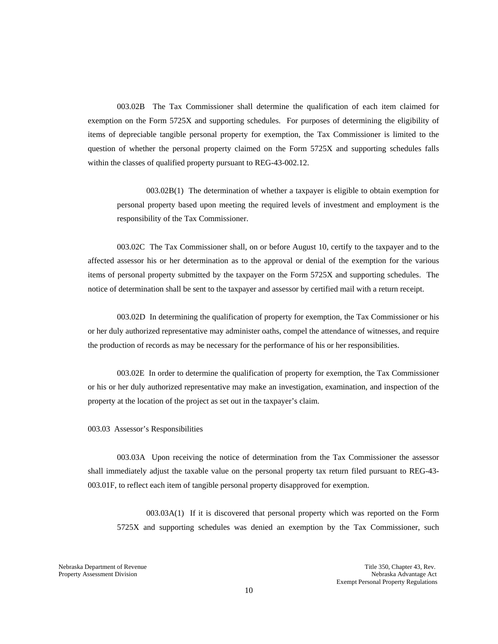003.02B The Tax Commissioner shall determine the qualification of each item claimed for exemption on the Form 5725X and supporting schedules. For purposes of determining the eligibility of items of depreciable tangible personal property for exemption, the Tax Commissioner is limited to the question of whether the personal property claimed on the Form 5725X and supporting schedules falls within the classes of qualified property pursuant to REG-43-002.12.

003.02B(1) The determination of whether a taxpayer is eligible to obtain exemption for personal property based upon meeting the required levels of investment and employment is the responsibility of the Tax Commissioner.

003.02C The Tax Commissioner shall, on or before August 10, certify to the taxpayer and to the affected assessor his or her determination as to the approval or denial of the exemption for the various items of personal property submitted by the taxpayer on the Form 5725X and supporting schedules. The notice of determination shall be sent to the taxpayer and assessor by certified mail with a return receipt.

003.02D In determining the qualification of property for exemption, the Tax Commissioner or his or her duly authorized representative may administer oaths, compel the attendance of witnesses, and require the production of records as may be necessary for the performance of his or her responsibilities.

003.02E In order to determine the qualification of property for exemption, the Tax Commissioner or his or her duly authorized representative may make an investigation, examination, and inspection of the property at the location of the project as set out in the taxpayer's claim.

003.03 Assessor's Responsibilities

003.03A Upon receiving the notice of determination from the Tax Commissioner the assessor shall immediately adjust the taxable value on the personal property tax return filed pursuant to REG-43- 003.01F, to reflect each item of tangible personal property disapproved for exemption.

003.03A(1) If it is discovered that personal property which was reported on the Form 5725X and supporting schedules was denied an exemption by the Tax Commissioner, such